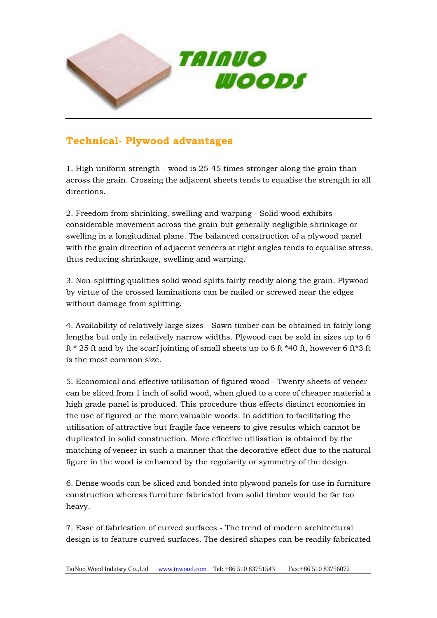

## **Technical- Plywood advantages**

1. High uniform strength - wood is 25-45 times stronger along the grain than across the grain. Crossing the adjacent sheets tends to equalise the strength in all directions.

2. Freedom from shrinking, swelling and warping - Solid wood exhibits considerable movement across the grain but generally negligible shrinkage or swelling in a longitudinal plane. The balanced construction of a plywood panel with the grain direction of adjacent veneers at right angles tends to equalise stress, thus reducing shrinkage, swelling and warping.

3. Non-splitting qualities solid wood splits fairly readily along the grain. Plywood by virtue of the crossed laminations can be nailed or screwed near the edges without damage from splitting.

4. Availability of relatively large sizes - Sawn timber can be obtained in fairly long lengths but only in relatively narrow widths. Plywood can be sold in sizes up to 6 ft \* 25 ft and by the scarf jointing of small sheets up to 6 ft \* 40 ft, however 6 ft \* 3 ft is the most common size.

5. Economical and effective utilisation of figured wood - Twenty sheets of veneer can be sliced from 1 inch of solid wood, when glued to a core of cheaper material a high grade panel is produced. This procedure thus effects distinct economies in the use of figured or the more valuable woods. In addition to facilitating the utilisation of attractive but fragile face veneers to give results which cannot be duplicated in solid construction. More effective utilisation is obtained by the matching of veneer in such a manner that the decorative effect due to the natural figure in the wood is enhanced by the regularity or symmetry of the design.

6. Dense woods can be sliced and bonded into plywood panels for use in furniture construction whereas furniture fabricated from solid timber would be far too heavy.

7. Ease of fabrication of curved surfaces - The trend of modern architectural design is to feature curved surfaces. The desired shapes can be readily fabricated